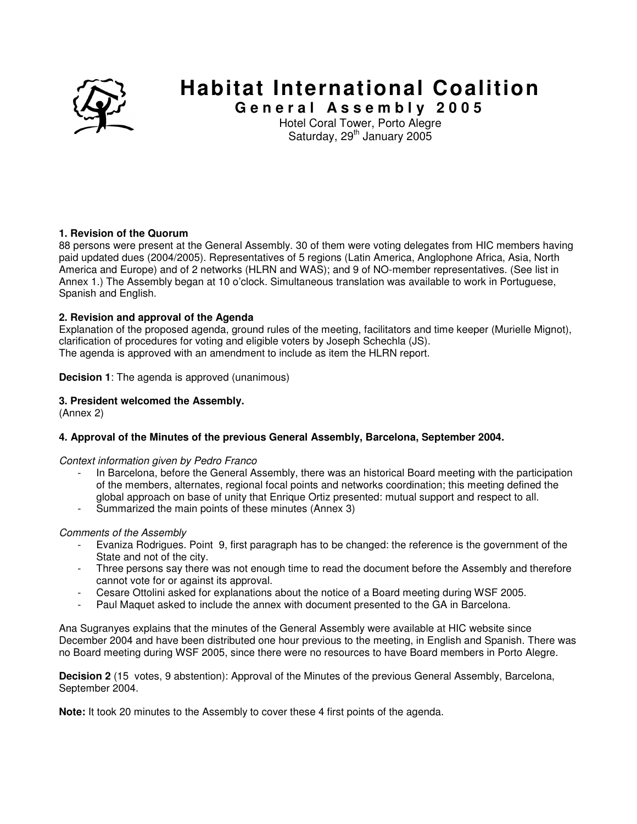

# **Habitat International Coalition**

**G e n e r a l A s s e m b l y 2 0 0 5**  Hotel Coral Tower, Porto Alegre Saturday, 29<sup>th</sup> January 2005

# **1. Revision of the Quorum**

88 persons were present at the General Assembly. 30 of them were voting delegates from HIC members having paid updated dues (2004/2005). Representatives of 5 regions (Latin America, Anglophone Africa, Asia, North America and Europe) and of 2 networks (HLRN and WAS); and 9 of NO-member representatives. (See list in Annex 1.) The Assembly began at 10 o'clock. Simultaneous translation was available to work in Portuguese, Spanish and English.

#### **2. Revision and approval of the Agenda**

Explanation of the proposed agenda, ground rules of the meeting, facilitators and time keeper (Murielle Mignot), clarification of procedures for voting and eligible voters by Joseph Schechla (JS). The agenda is approved with an amendment to include as item the HLRN report.

**Decision 1**: The agenda is approved (unanimous)

#### **3. President welcomed the Assembly.**

(Annex 2)

# **4. Approval of the Minutes of the previous General Assembly, Barcelona, September 2004.**

#### Context information given by Pedro Franco

- In Barcelona, before the General Assembly, there was an historical Board meeting with the participation of the members, alternates, regional focal points and networks coordination; this meeting defined the global approach on base of unity that Enrique Ortiz presented: mutual support and respect to all.
- Summarized the main points of these minutes (Annex 3)

#### Comments of the Assembly

- Evaniza Rodrigues. Point 9, first paragraph has to be changed: the reference is the government of the State and not of the city.
- Three persons say there was not enough time to read the document before the Assembly and therefore cannot vote for or against its approval.
- Cesare Ottolini asked for explanations about the notice of a Board meeting during WSF 2005.
- Paul Maquet asked to include the annex with document presented to the GA in Barcelona.

Ana Sugranyes explains that the minutes of the General Assembly were available at HIC website since December 2004 and have been distributed one hour previous to the meeting, in English and Spanish. There was no Board meeting during WSF 2005, since there were no resources to have Board members in Porto Alegre.

**Decision 2** (15 votes, 9 abstention): Approval of the Minutes of the previous General Assembly, Barcelona, September 2004.

**Note:** It took 20 minutes to the Assembly to cover these 4 first points of the agenda.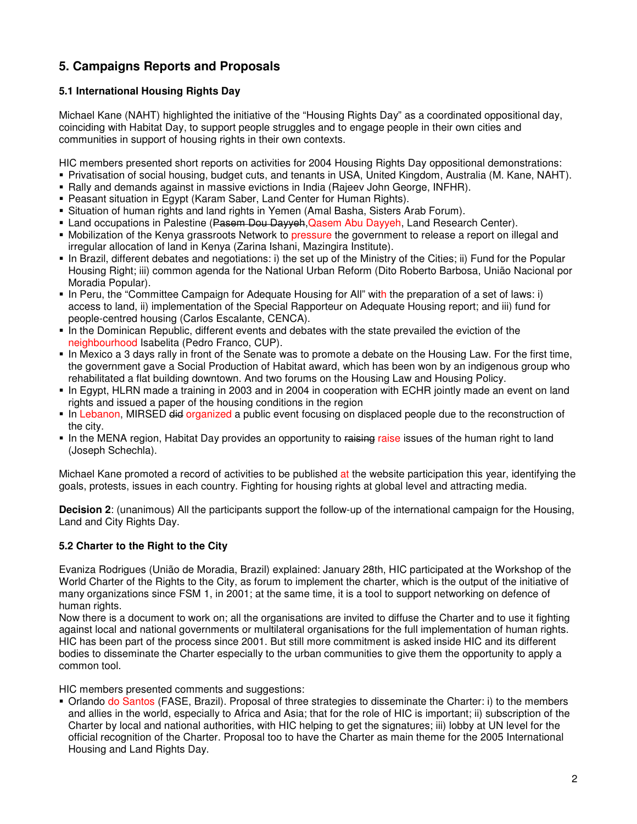# **5. Campaigns Reports and Proposals**

# **5.1 International Housing Rights Day**

Michael Kane (NAHT) highlighted the initiative of the "Housing Rights Day" as a coordinated oppositional day, coinciding with Habitat Day, to support people struggles and to engage people in their own cities and communities in support of housing rights in their own contexts.

HIC members presented short reports on activities for 2004 Housing Rights Day oppositional demonstrations:

- Privatisation of social housing, budget cuts, and tenants in USA, United Kingdom, Australia (M. Kane, NAHT).
- Rally and demands against in massive evictions in India (Rajeev John George, INFHR).
- Peasant situation in Egypt (Karam Saber, Land Center for Human Rights).
- Situation of human rights and land rights in Yemen (Amal Basha, Sisters Arab Forum).
- **Land occupations in Palestine (<del>Pasem Dou Dayyeh</del>, Qasem Abu Dayyeh, Land Research Center).**
- Mobilization of the Kenya grassroots Network to pressure the government to release a report on illegal and irregular allocation of land in Kenya (Zarina Ishani, Mazingira Institute).
- In Brazil, different debates and negotiations: i) the set up of the Ministry of the Cities; ii) Fund for the Popular Housing Right; iii) common agenda for the National Urban Reform (Dito Roberto Barbosa, União Nacional por Moradia Popular).
- In Peru, the "Committee Campaign for Adequate Housing for All" with the preparation of a set of laws: i) access to land, ii) implementation of the Special Rapporteur on Adequate Housing report; and iii) fund for people-centred housing (Carlos Escalante, CENCA).
- In the Dominican Republic, different events and debates with the state prevailed the eviction of the neighbourhood Isabelita (Pedro Franco, CUP).
- In Mexico a 3 days rally in front of the Senate was to promote a debate on the Housing Law. For the first time, the government gave a Social Production of Habitat award, which has been won by an indigenous group who rehabilitated a flat building downtown. And two forums on the Housing Law and Housing Policy.
- In Egypt, HLRN made a training in 2003 and in 2004 in cooperation with ECHR jointly made an event on land rights and issued a paper of the housing conditions in the region
- In Lebanon, MIRSED did organized a public event focusing on displaced people due to the reconstruction of the city.
- In the MENA region, Habitat Day provides an opportunity to raising raise issues of the human right to land (Joseph Schechla).

Michael Kane promoted a record of activities to be published at the website participation this year, identifying the goals, protests, issues in each country. Fighting for housing rights at global level and attracting media.

**Decision 2**: (unanimous) All the participants support the follow-up of the international campaign for the Housing, Land and City Rights Day.

# **5.2 Charter to the Right to the City**

Evaniza Rodrigues (União de Moradia, Brazil) explained: January 28th, HIC participated at the Workshop of the World Charter of the Rights to the City, as forum to implement the charter, which is the output of the initiative of many organizations since FSM 1, in 2001; at the same time, it is a tool to support networking on defence of human rights.

Now there is a document to work on; all the organisations are invited to diffuse the Charter and to use it fighting against local and national governments or multilateral organisations for the full implementation of human rights. HIC has been part of the process since 2001. But still more commitment is asked inside HIC and its different bodies to disseminate the Charter especially to the urban communities to give them the opportunity to apply a common tool.

HIC members presented comments and suggestions:

 Orlando do Santos (FASE, Brazil). Proposal of three strategies to disseminate the Charter: i) to the members and allies in the world, especially to Africa and Asia; that for the role of HIC is important; ii) subscription of the Charter by local and national authorities, with HIC helping to get the signatures; iii) lobby at UN level for the official recognition of the Charter. Proposal too to have the Charter as main theme for the 2005 International Housing and Land Rights Day.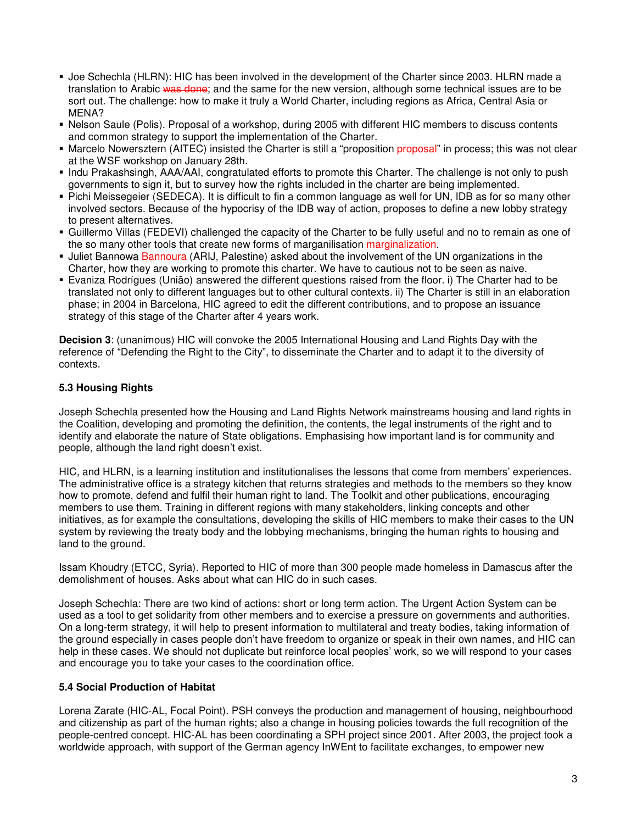- Joe Schechla (HLRN): HIC has been involved in the development of the Charter since 2003. HLRN made a translation to Arabic was done; and the same for the new version, although some technical issues are to be sort out. The challenge: how to make it truly a World Charter, including regions as Africa, Central Asia or MENA?
- Nelson Saule (Polis). Proposal of a workshop, during 2005 with different HIC members to discuss contents and common strategy to support the implementation of the Charter.
- Marcelo Nowersztern (AITEC) insisted the Charter is still a "proposition proposal" in process; this was not clear at the WSF workshop on January 28th.
- Indu Prakashsingh, AAA/AAI, congratulated efforts to promote this Charter. The challenge is not only to push governments to sign it, but to survey how the rights included in the charter are being implemented.
- Pichi Meissegeier (SEDECA). It is difficult to fin a common language as well for UN, IDB as for so many other involved sectors. Because of the hypocrisy of the IDB way of action, proposes to define a new lobby strategy to present alternatives.
- Guillermo Villas (FEDEVI) challenged the capacity of the Charter to be fully useful and no to remain as one of the so many other tools that create new forms of marganilisation marginalization.
- **Juliet Bannowa Bannoura (ARIJ, Palestine) asked about the involvement of the UN organizations in the** Charter, how they are working to promote this charter. We have to cautious not to be seen as naive.
- Evaniza Rodrígues (União) answered the different questions raised from the floor. i) The Charter had to be translated not only to different languages but to other cultural contexts. ii) The Charter is still in an elaboration phase; in 2004 in Barcelona, HIC agreed to edit the different contributions, and to propose an issuance strategy of this stage of the Charter after 4 years work.

**Decision 3**: (unanimous) HIC will convoke the 2005 International Housing and Land Rights Day with the reference of "Defending the Right to the City", to disseminate the Charter and to adapt it to the diversity of contexts.

# **5.3 Housing Rights**

Joseph Schechla presented how the Housing and Land Rights Network mainstreams housing and land rights in the Coalition, developing and promoting the definition, the contents, the legal instruments of the right and to identify and elaborate the nature of State obligations. Emphasising how important land is for community and people, although the land right doesn't exist.

HIC, and HLRN, is a learning institution and institutionalises the lessons that come from members' experiences. The administrative office is a strategy kitchen that returns strategies and methods to the members so they know how to promote, defend and fulfil their human right to land. The Toolkit and other publications, encouraging members to use them. Training in different regions with many stakeholders, linking concepts and other initiatives, as for example the consultations, developing the skills of HIC members to make their cases to the UN system by reviewing the treaty body and the lobbying mechanisms, bringing the human rights to housing and land to the ground.

Issam Khoudry (ETCC, Syria). Reported to HIC of more than 300 people made homeless in Damascus after the demolishment of houses. Asks about what can HIC do in such cases.

Joseph Schechla: There are two kind of actions: short or long term action. The Urgent Action System can be used as a tool to get solidarity from other members and to exercise a pressure on governments and authorities. On a long-term strategy, it will help to present information to multilateral and treaty bodies, taking information of the ground especially in cases people don't have freedom to organize or speak in their own names, and HIC can help in these cases. We should not duplicate but reinforce local peoples' work, so we will respond to your cases and encourage you to take your cases to the coordination office.

# **5.4 Social Production of Habitat**

Lorena Zarate (HIC-AL, Focal Point). PSH conveys the production and management of housing, neighbourhood and citizenship as part of the human rights; also a change in housing policies towards the full recognition of the people-centred concept. HIC-AL has been coordinating a SPH project since 2001. After 2003, the project took a worldwide approach, with support of the German agency InWEnt to facilitate exchanges, to empower new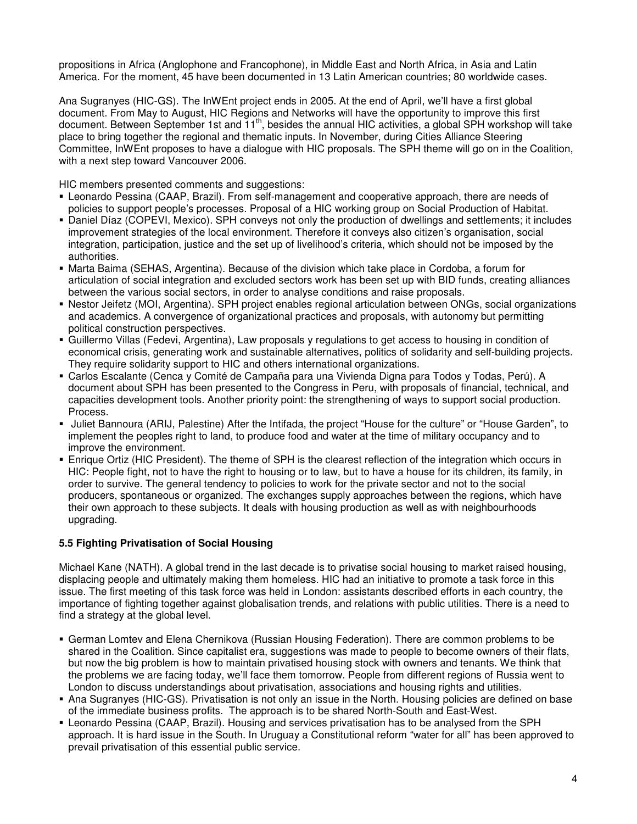propositions in Africa (Anglophone and Francophone), in Middle East and North Africa, in Asia and Latin America. For the moment, 45 have been documented in 13 Latin American countries; 80 worldwide cases.

Ana Sugranyes (HIC-GS). The InWEnt project ends in 2005. At the end of April, we'll have a first global document. From May to August, HIC Regions and Networks will have the opportunity to improve this first document. Between September 1st and 11<sup>th</sup>, besides the annual HIC activities, a global SPH workshop will take place to bring together the regional and thematic inputs. In November, during Cities Alliance Steering Committee, InWEnt proposes to have a dialogue with HIC proposals. The SPH theme will go on in the Coalition, with a next step toward Vancouver 2006.

HIC members presented comments and suggestions:

- Leonardo Pessina (CAAP, Brazil). From self-management and cooperative approach, there are needs of policies to support people's processes. Proposal of a HIC working group on Social Production of Habitat.
- Daniel Díaz (COPEVI, Mexico). SPH conveys not only the production of dwellings and settlements; it includes improvement strategies of the local environment. Therefore it conveys also citizen's organisation, social integration, participation, justice and the set up of livelihood's criteria, which should not be imposed by the authorities.
- Marta Baima (SEHAS, Argentina). Because of the division which take place in Cordoba, a forum for articulation of social integration and excluded sectors work has been set up with BID funds, creating alliances between the various social sectors, in order to analyse conditions and raise proposals.
- Nestor Jeifetz (MOI, Argentina). SPH project enables regional articulation between ONGs, social organizations and academics. A convergence of organizational practices and proposals, with autonomy but permitting political construction perspectives.
- Guillermo Villas (Fedevi, Argentina), Law proposals y regulations to get access to housing in condition of economical crisis, generating work and sustainable alternatives, politics of solidarity and self-building projects. They require solidarity support to HIC and others international organizations.
- Carlos Escalante (Cenca y Comité de Campaña para una Vivienda Digna para Todos y Todas, Perú). A document about SPH has been presented to the Congress in Peru, with proposals of financial, technical, and capacities development tools. Another priority point: the strengthening of ways to support social production. Process.
- Juliet Bannoura (ARIJ, Palestine) After the Intifada, the project "House for the culture" or "House Garden", to implement the peoples right to land, to produce food and water at the time of military occupancy and to improve the environment.
- Enrique Ortiz (HIC President). The theme of SPH is the clearest reflection of the integration which occurs in HIC: People fight, not to have the right to housing or to law, but to have a house for its children, its family, in order to survive. The general tendency to policies to work for the private sector and not to the social producers, spontaneous or organized. The exchanges supply approaches between the regions, which have their own approach to these subjects. It deals with housing production as well as with neighbourhoods upgrading.

# **5.5 Fighting Privatisation of Social Housing**

Michael Kane (NATH). A global trend in the last decade is to privatise social housing to market raised housing, displacing people and ultimately making them homeless. HIC had an initiative to promote a task force in this issue. The first meeting of this task force was held in London: assistants described efforts in each country, the importance of fighting together against globalisation trends, and relations with public utilities. There is a need to find a strategy at the global level.

- German Lomtev and Elena Chernikova (Russian Housing Federation). There are common problems to be shared in the Coalition. Since capitalist era, suggestions was made to people to become owners of their flats, but now the big problem is how to maintain privatised housing stock with owners and tenants. We think that the problems we are facing today, we'll face them tomorrow. People from different regions of Russia went to London to discuss understandings about privatisation, associations and housing rights and utilities.
- Ana Sugranyes (HIC-GS). Privatisation is not only an issue in the North. Housing policies are defined on base of the immediate business profits. The approach is to be shared North-South and East-West.
- Leonardo Pessina (CAAP, Brazil). Housing and services privatisation has to be analysed from the SPH approach. It is hard issue in the South. In Uruguay a Constitutional reform "water for all" has been approved to prevail privatisation of this essential public service.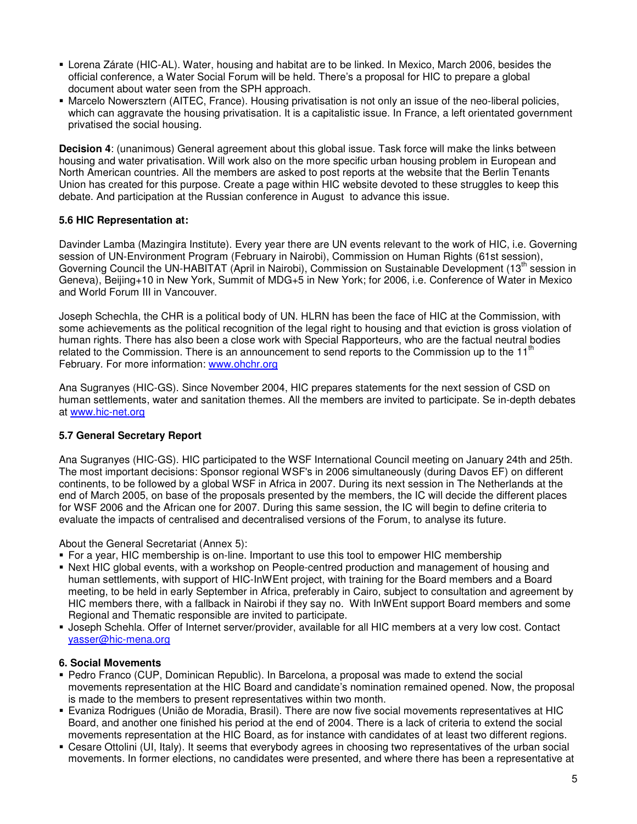- Lorena Zárate (HIC-AL). Water, housing and habitat are to be linked. In Mexico, March 2006, besides the official conference, a Water Social Forum will be held. There's a proposal for HIC to prepare a global document about water seen from the SPH approach.
- Marcelo Nowersztern (AITEC, France). Housing privatisation is not only an issue of the neo-liberal policies, which can aggravate the housing privatisation. It is a capitalistic issue. In France, a left orientated government privatised the social housing.

**Decision 4**: (unanimous) General agreement about this global issue. Task force will make the links between housing and water privatisation. Will work also on the more specific urban housing problem in European and North American countries. All the members are asked to post reports at the website that the Berlin Tenants Union has created for this purpose. Create a page within HIC website devoted to these struggles to keep this debate. And participation at the Russian conference in August to advance this issue.

#### **5.6 HIC Representation at:**

Davinder Lamba (Mazingira Institute). Every year there are UN events relevant to the work of HIC, i.e. Governing session of UN-Environment Program (February in Nairobi), Commission on Human Rights (61st session), Governing Council the UN-HABITAT (April in Nairobi), Commission on Sustainable Development (13<sup>th</sup> session in Geneva), Beijing+10 in New York, Summit of MDG+5 in New York; for 2006, i.e. Conference of Water in Mexico and World Forum III in Vancouver.

Joseph Schechla, the CHR is a political body of UN. HLRN has been the face of HIC at the Commission, with some achievements as the political recognition of the legal right to housing and that eviction is gross violation of human rights. There has also been a close work with Special Rapporteurs, who are the factual neutral bodies related to the Commission. There is an announcement to send reports to the Commission up to the  $11<sup>th</sup>$ February. For more information: www.ohchr.org

Ana Sugranyes (HIC-GS). Since November 2004, HIC prepares statements for the next session of CSD on human settlements, water and sanitation themes. All the members are invited to participate. Se in-depth debates at www.hic-net.org

# **5.7 General Secretary Report**

Ana Sugranyes (HIC-GS). HIC participated to the WSF International Council meeting on January 24th and 25th. The most important decisions: Sponsor regional WSF's in 2006 simultaneously (during Davos EF) on different continents, to be followed by a global WSF in Africa in 2007. During its next session in The Netherlands at the end of March 2005, on base of the proposals presented by the members, the IC will decide the different places for WSF 2006 and the African one for 2007. During this same session, the IC will begin to define criteria to evaluate the impacts of centralised and decentralised versions of the Forum, to analyse its future.

About the General Secretariat (Annex 5):

- For a year, HIC membership is on-line. Important to use this tool to empower HIC membership
- Next HIC global events, with a workshop on People-centred production and management of housing and human settlements, with support of HIC-InWEnt project, with training for the Board members and a Board meeting, to be held in early September in Africa, preferably in Cairo, subject to consultation and agreement by HIC members there, with a fallback in Nairobi if they say no. With InWEnt support Board members and some Regional and Thematic responsible are invited to participate.
- Joseph Schehla. Offer of Internet server/provider, available for all HIC members at a very low cost. Contact yasser@hic-mena.org

#### **6. Social Movements**

- Pedro Franco (CUP, Dominican Republic). In Barcelona, a proposal was made to extend the social movements representation at the HIC Board and candidate's nomination remained opened. Now, the proposal is made to the members to present representatives within two month.
- Evaniza Rodrigues (União de Moradia, Brasil). There are now five social movements representatives at HIC Board, and another one finished his period at the end of 2004. There is a lack of criteria to extend the social movements representation at the HIC Board, as for instance with candidates of at least two different regions.
- Cesare Ottolini (UI, Italy). It seems that everybody agrees in choosing two representatives of the urban social movements. In former elections, no candidates were presented, and where there has been a representative at